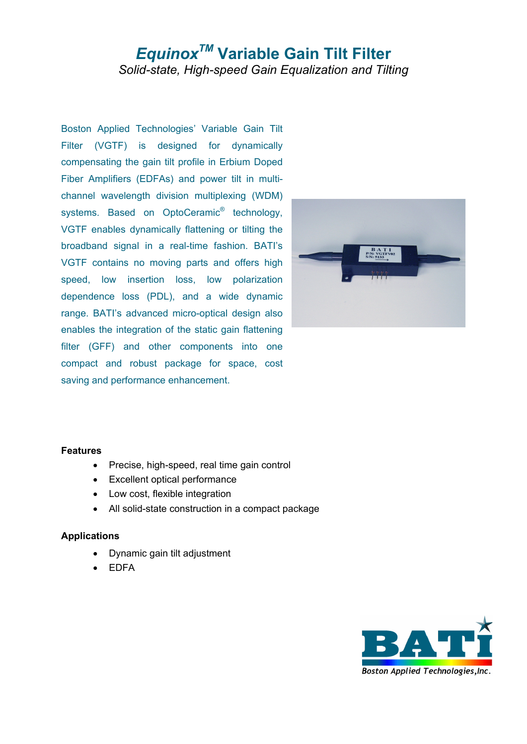# *EquinoxTM* **Variable Gain Tilt Filter**  *Solid-state, High-speed Gain Equalization and Tilting*

Boston Applied Technologies' Variable Gain Tilt Filter (VGTF) is designed for dynamically compensating the gain tilt profile in Erbium Doped Fiber Amplifiers (EDFAs) and power tilt in multichannel wavelength division multiplexing (WDM) systems. Based on OptoCeramic<sup>®</sup> technology, VGTF enables dynamically flattening or tilting the broadband signal in a real-time fashion. BATI's VGTF contains no moving parts and offers high speed, low insertion loss, low polarization dependence loss (PDL), and a wide dynamic range. BATI's advanced micro-optical design also enables the integration of the static gain flattening filter (GFF) and other components into one compact and robust package for space, cost saving and performance enhancement.



#### **Features**

- Precise, high-speed, real time gain control
- Excellent optical performance
- Low cost, flexible integration
- All solid-state construction in a compact package

### **Applications**

- Dynamic gain tilt adjustment
- EDFA